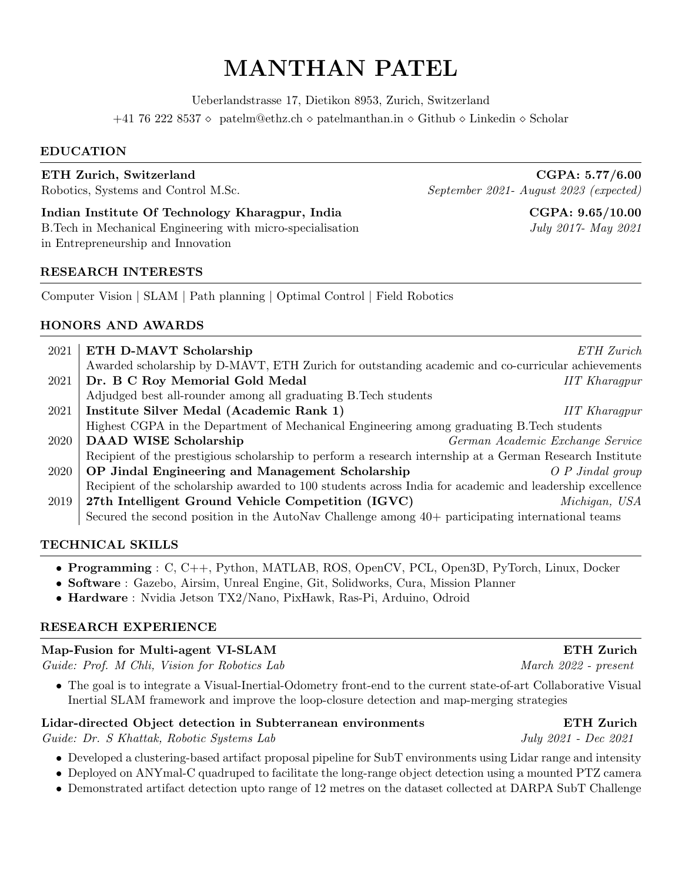# MANTHAN PATEL

Ueberlandstrasse 17, Dietikon 8953, Zurich, Switzerland

+41 76 222 8537 ⋄ [patelm@ethz.ch](mailto:patelm@ethz.ch) ⋄ [patelmanthan.in](http://patelmanthan.in/) ⋄ [Github](https://github.com/manthan99) ⋄ [Linkedin](https://www.linkedin.com/in/manthan-patel/) ⋄ [Scholar](https://scholar.google.com/citations?user=7ElOFaUAAAAJ&hl=en)

#### EDUCATION

Indian Institute Of Technology Kharagpur, India  $CGPA: 9.65/10.00$ B.Tech in Mechanical Engineering with micro-specialisation July 2017- May 2021 in Entrepreneurship and Innovation

### RESEARCH INTERESTS

Computer Vision | SLAM | Path planning | Optimal Control | Field Robotics

# HONORS AND AWARDS

| 2021 | ETH D-MAVT Scholarship                                                                                   | ETH Zurich                       |
|------|----------------------------------------------------------------------------------------------------------|----------------------------------|
|      | Awarded scholarship by D-MAVT, ETH Zurich for outstanding academic and co-curricular achievements        |                                  |
| 2021 | Dr. B C Roy Memorial Gold Medal                                                                          | <b>IIT</b> Kharaqpur             |
|      | Adjudged best all-rounder among all graduating B. Tech students                                          |                                  |
| 2021 | Institute Silver Medal (Academic Rank 1)                                                                 | <b>IIT</b> Kharaqpur             |
|      | Highest CGPA in the Department of Mechanical Engineering among graduating B. Tech students               |                                  |
| 2020 | <b>DAAD WISE Scholarship</b>                                                                             | German Academic Exchange Service |
|      | Recipient of the prestigious scholarship to perform a research internship at a German Research Institute |                                  |
| 2020 | OP Jindal Engineering and Management Scholarship                                                         | $O \, P \, Jindal \, group$      |
|      | Recipient of the scholarship awarded to 100 students across India for academic and leadership excellence |                                  |
| 2019 | 27th Intelligent Ground Vehicle Competition (IGVC)                                                       | Michigan, USA                    |
|      | Secured the second position in the AutoNav Challenge among 40+ participating international teams         |                                  |
|      |                                                                                                          |                                  |

## TECHNICAL SKILLS

- Programming : C, C++, Python, MATLAB, ROS, OpenCV, PCL, Open3D, PyTorch, Linux, Docker
- Software : Gazebo, Airsim, Unreal Engine, Git, Solidworks, Cura, Mission Planner
- Hardware : Nvidia Jetson TX2/Nano, PixHawk, Ras-Pi, Arduino, Odroid

## RESEARCH EXPERIENCE

## Map-Fusion for Multi-agent VI-SLAM extended to the second service of the ETH Zurich

Guide: Prof. M Chli, Vision for Robotics Lab March 2022 - present

• The goal is to integrate a Visual-Inertial-Odometry front-end to the current state-of-art Collaborative Visual Inertial SLAM framework and improve the loop-closure detection and map-merging strategies

## Lidar-directed Object detection in Subterranean environments ETH Zurich

Guide: Dr. S Khattak, Robotic Systems Lab July 2021 - Dec 2021

- Developed a clustering-based artifact proposal pipeline for SubT environments using Lidar range and intensity
- Deployed on ANYmal-C quadruped to facilitate the long-range object detection using a mounted PTZ camera
- Demonstrated artifact detection upto range of 12 metres on the dataset collected at DARPA SubT Challenge

# ETH Zurich, Switzerland CGPA: 5.77/6.00 Robotics, Systems and Control M.Sc. September 2021- August 2023 (expected)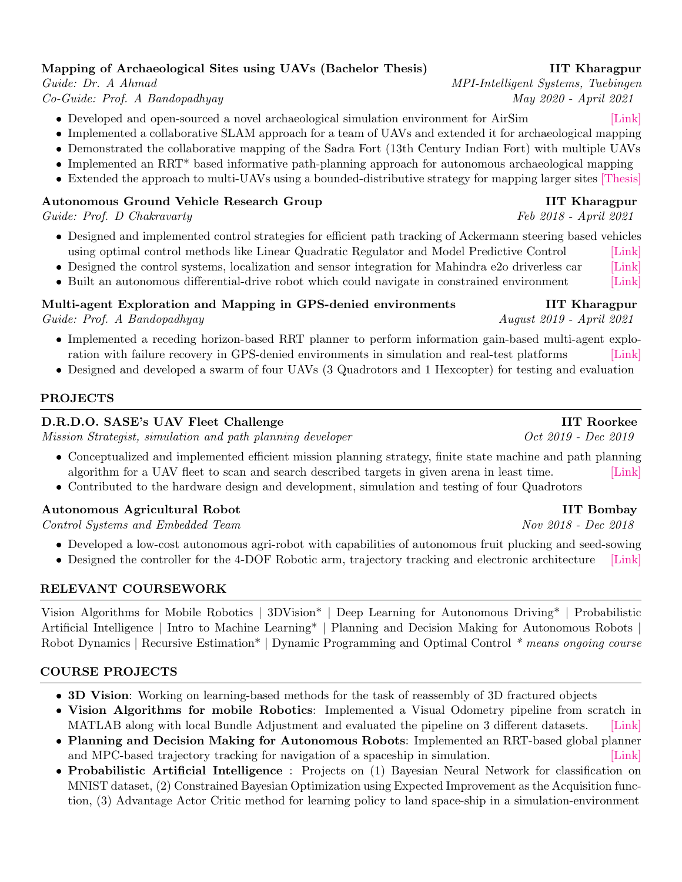# Mapping of Archaeological Sites using UAVs (Bachelor Thesis) **IIT Kharagpur**

- Developed and open-sourced a novel archaeological simulation environment for AirSim [\[Link\]](http://patelmanthan.in/castle-ruins-airsim/)
- Implemented a collaborative SLAM approach for a team of UAVs and extended it for archaeological mapping
- Demonstrated the collaborative mapping of the Sadra Fort (13th Century Indian Fort) with multiple UAVs
- Implemented an RRT\* based informative path-planning approach for autonomous archaeological mapping
- Extended the approach to multi-UAVs using a bounded-distributive strategy for mapping larger sites [\[Thesis\]](https://patelmanthan.in/wp-content/uploads/2020/07/final_BTP_17ME10078.pdf)

# Autonomous Ground Vehicle Research Group **IIT Kharagpur** IIT Kharagpur

Guide: Prof. D Chakravarty Feb 2018 - April 2021

- Designed and implemented control strategies for efficient path tracking of Ackermann steering based vehicles using optimal control methods like Linear Quadratic Regulator and Model Predictive Control [\[Link\]](http://patelmanthan.in/agv-path-tracking-for-ackermann-based-vehicles/)
- Designed the control systems, localization and sensor integration for Mahindra e2o driverless car [\[Link\]](http://patelmanthan.in/agv-mahindra-e2o-driverless-car/)
- Built an autonomous differential-drive robot which could navigate in constrained environment [\[Link\]](http://patelmanthan.in/agv-eklavya/)

# Multi-agent Exploration and Mapping in GPS-denied environments IIT Kharagpur

Guide: Prof. A Bandopadhyay August 2019 - April 2021

- Implemented a receding horizon-based RRT planner to perform information gain-based multi-agent explo-ration with failure recovery in GPS-denied environments in simulation and real-test platforms [\[Link\]](http://rishabh-singh.in/projects/coordinated-exploration/)
- Designed and developed a swarm of four UAVs (3 Quadrotors and 1 Hexcopter) for testing and evaluation

# PROJECTS

# D.R.D.O. SASE's UAV Fleet Challenge **IIT Roorkee** IIT Roorkee

Mission Strategist, simulation and path planning developer Oct 2019 - Dec 2019

- Conceptualized and implemented efficient mission planning strategy, finite state machine and path planning algorithm for a UAV fleet to scan and search described targets in given arena in least time. [\[Link\]](http://patelmanthan.in/d-r-d-o-sases-uav-fleet-challenge/)
- Contributed to the hardware design and development, simulation and testing of four Quadrotors

# Autonomous Agricultural Robot IIT Bombay

Control Systems and Embedded Team Nov 2018 - Dec 2018

- Developed a low-cost autonomous agri-robot with capabilities of autonomous fruit plucking and seed-sowing
- Designed the controller for the 4-DOF Robotic arm, trajectory tracking and electronic architecture [\[Link\]](http://patelmanthan.in/tctd-challenge-7th-inter-iit-tech-meet/)

# RELEVANT COURSEWORK

Vision Algorithms for Mobile Robotics | 3DVision\* | Deep Learning for Autonomous Driving\* | Probabilistic Artificial Intelligence | Intro to Machine Learning\* | Planning and Decision Making for Autonomous Robots | Robot Dynamics | Recursive Estimation\* | Dynamic Programming and Optimal Control \* means ongoing course

# COURSE PROJECTS

- 3D Vision: Working on learning-based methods for the task of reassembly of 3D fractured objects
- Vision Algorithms for mobile Robotics: Implemented a Visual Odometry pipeline from scratch in MATLAB along with local Bundle Adjustment and evaluated the pipeline on 3 different datasets. [\[Link\]](https://github.com/manthan99/VAMR_project)
- Planning and Decision Making for Autonomous Robots: Implemented an RRT-based global planner and MPC-based trajectory tracking for navigation of a spaceship in simulation. [\[Link\]](https://github.com/shobhit55/padm4ar_final21)
- Probabilistic Artificial Intelligence : Projects on (1) Bayesian Neural Network for classification on MNIST dataset, (2) Constrained Bayesian Optimization using Expected Improvement as the Acquisition function, (3) Advantage Actor Critic method for learning policy to land space-ship in a simulation-environment

Guide: Dr. A Ahmad MPI-Intelligent Systems, Tuebingen Co-Guide: Prof. A Bandopadhyay May 2020 - April 2021